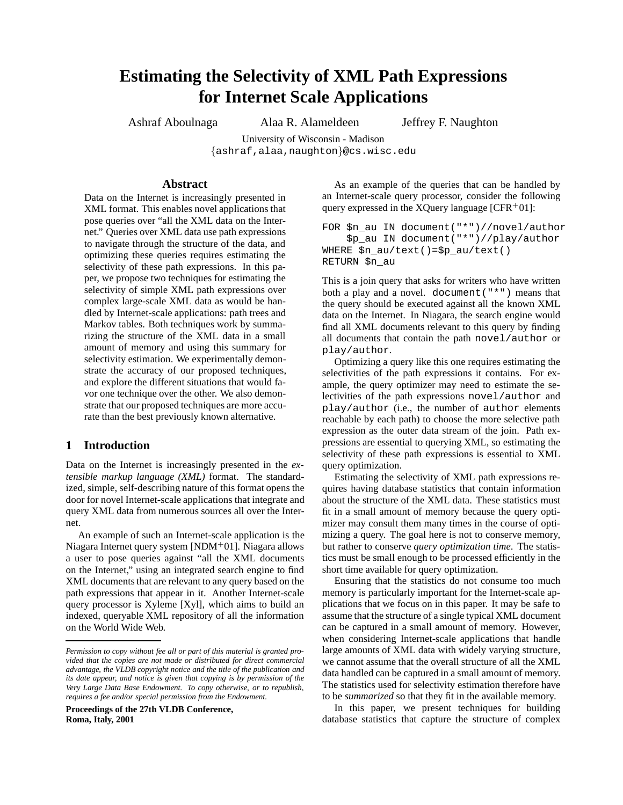# **Estimating the Selectivity of XML Path Expressions for Internet Scale Applications**

Ashraf Aboulnaga Alaa R. Alameldeen Jeffrey F. Naughton

University of Wisconsin - Madison {ashraf,alaa,naughton}@cs.wisc.edu

# **Abstract**

Data on the Internet is increasingly presented in XML format. This enables novel applications that pose queries over "all the XML data on the Internet." Queries over XML data use path expressions to navigate through the structure of the data, and optimizing these queries requires estimating the selectivity of these path expressions. In this paper, we propose two techniques for estimating the selectivity of simple XML path expressions over complex large-scale XML data as would be handled by Internet-scale applications: path trees and Markov tables. Both techniques work by summarizing the structure of the XML data in a small amount of memory and using this summary for selectivity estimation. We experimentally demonstrate the accuracy of our proposed techniques, and explore the different situations that would favor one technique over the other. We also demonstrate that our proposed techniques are more accurate than the best previously known alternative.

# **1 Introduction**

Data on the Internet is increasingly presented in the *extensible markup language (XML)* format. The standardized, simple, self-describing nature of this format opens the door for novel Internet-scale applications that integrate and query XML data from numerous sources all over the Internet.

An example of such an Internet-scale application is the Niagara Internet query system [NDM $+01$ ]. Niagara allows a user to pose queries against "all the XML documents on the Internet," using an integrated search engine to find XML documents that are relevant to any query based on the path expressions that appear in it. Another Internet-scale query processor is Xyleme [Xyl], which aims to build an indexed, queryable XML repository of all the information on the World Wide Web.

**Proceedings of the 27th VLDB Conference, Roma, Italy, 2001**

As an example of the queries that can be handled by an Internet-scale query processor, consider the following query expressed in the XQuery language  $[CFR<sup>+</sup>01]$ :

FOR \$n\_au IN document("\*")//novel/author \$p\_au IN document("\*")//play/author WHERE \$n\_au/text()=\$p\_au/text() RETURN \$n\_au

This is a join query that asks for writers who have written both a play and a novel. document  $("**")$  means that the query should be executed against all the known XML data on the Internet. In Niagara, the search engine would find all XML documents relevant to this query by finding all documents that contain the path novel/author or play/author.

Optimizing a query like this one requires estimating the selectivities of the path expressions it contains. For example, the query optimizer may need to estimate the selectivities of the path expressions novel/author and play/author (i.e., the number of author elements reachable by each path) to choose the more selective path expression as the outer data stream of the join. Path expressions are essential to querying XML, so estimating the selectivity of these path expressions is essential to XML query optimization.

Estimating the selectivity of XML path expressions requires having database statistics that contain information about the structure of the XML data. These statistics must fit in a small amount of memory because the query optimizer may consult them many times in the course of optimizing a query. The goal here is not to conserve memory, but rather to conserve *query optimization time*. The statistics must be small enough to be processed efficiently in the short time available for query optimization.

Ensuring that the statistics do not consume too much memory is particularly important for the Internet-scale applications that we focus on in this paper. It may be safe to assume that the structure of a single typical XML document can be captured in a small amount of memory. However, when considering Internet-scale applications that handle large amounts of XML data with widely varying structure, we cannot assume that the overall structure of all the XML data handled can be captured in a small amount of memory. The statistics used for selectivity estimation therefore have to be *summarized* so that they fit in the available memory.

In this paper, we present techniques for building database statistics that capture the structure of complex

*Permission to copy without fee all or part of this material is granted provided that the copies are not made or distributed for direct commercial advantage, the VLDB copyright notice and the title of the publication and its date appear, and notice is given that copying is by permission of the Very Large Data Base Endowment. To copy otherwise, or to republish, requires a fee and/or special permission from the Endowment.*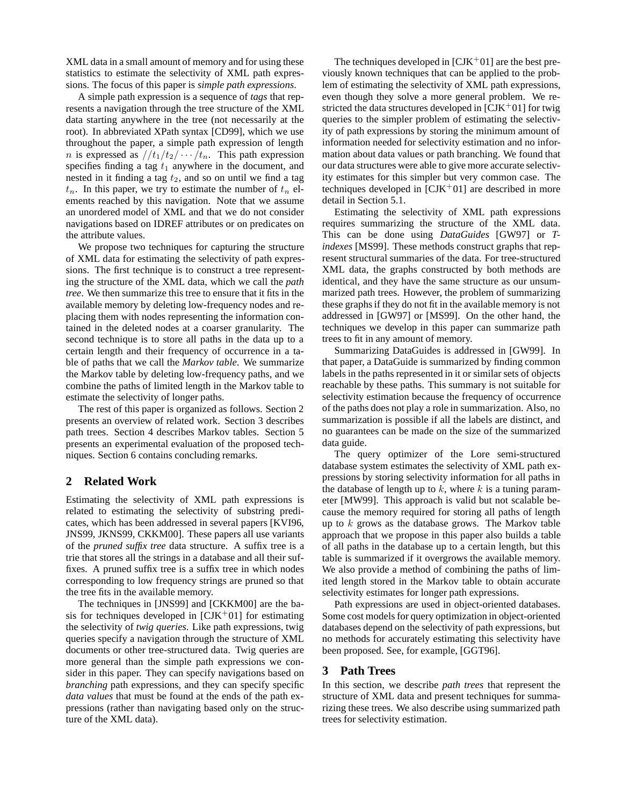XML data in a small amount of memory and for using these statistics to estimate the selectivity of XML path expressions. The focus of this paper is *simple path expressions*.

A simple path expression is a sequence of *tags* that represents a navigation through the tree structure of the XML data starting anywhere in the tree (not necessarily at the root). In abbreviated XPath syntax [CD99], which we use throughout the paper, a simple path expression of length *n* is expressed as  $//t_1/t_2/ \cdots/t_n$ . This path expression specifies finding a tag  $t_1$  anywhere in the document, and nested in it finding a tag  $t_2$ , and so on until we find a tag  $t_n$ . In this paper, we try to estimate the number of  $t_n$  elements reached by this navigation. Note that we assume an unordered model of XML and that we do not consider navigations based on IDREF attributes or on predicates on the attribute values.

We propose two techniques for capturing the structure of XML data for estimating the selectivity of path expressions. The first technique is to construct a tree representing the structure of the XML data, which we call the *path tree*. We then summarize this tree to ensure that it fits in the available memory by deleting low-frequency nodes and replacing them with nodes representing the information contained in the deleted nodes at a coarser granularity. The second technique is to store all paths in the data up to a certain length and their frequency of occurrence in a table of paths that we call the *Markov table*. We summarize the Markov table by deleting low-frequency paths, and we combine the paths of limited length in the Markov table to estimate the selectivity of longer paths.

The rest of this paper is organized as follows. Section 2 presents an overview of related work. Section 3 describes path trees. Section 4 describes Markov tables. Section 5 presents an experimental evaluation of the proposed techniques. Section 6 contains concluding remarks.

# **2 Related Work**

Estimating the selectivity of XML path expressions is related to estimating the selectivity of substring predicates, which has been addressed in several papers [KVI96, JNS99, JKNS99, CKKM00]. These papers all use variants of the *pruned suffix tree* data structure. A suffix tree is a trie that stores all the strings in a database and all their suffixes. A pruned suffix tree is a suffix tree in which nodes corresponding to low frequency strings are pruned so that the tree fits in the available memory.

The techniques in [JNS99] and [CKKM00] are the basis for techniques developed in  $\text{[CJK}^+01\text{]}$  for estimating the selectivity of *twig queries*. Like path expressions, twig queries specify a navigation through the structure of XML documents or other tree-structured data. Twig queries are more general than the simple path expressions we consider in this paper. They can specify navigations based on *branching* path expressions, and they can specify specific *data values* that must be found at the ends of the path expressions (rather than navigating based only on the structure of the XML data).

The techniques developed in  $[CIK<sup>+</sup>01]$  are the best previously known techniques that can be applied to the problem of estimating the selectivity of XML path expressions, even though they solve a more general problem. We restricted the data structures developed in  $[CIK<sup>+</sup>01]$  for twig queries to the simpler problem of estimating the selectivity of path expressions by storing the minimum amount of information needed for selectivity estimation and no information about data values or path branching. We found that our data structures were able to give more accurate selectivity estimates for this simpler but very common case. The techniques developed in  $[CJK^+01]$  are described in more detail in Section 5.1.

Estimating the selectivity of XML path expressions requires summarizing the structure of the XML data. This can be done using *DataGuides* [GW97] or *Tindexes* [MS99]. These methods construct graphs that represent structural summaries of the data. For tree-structured XML data, the graphs constructed by both methods are identical, and they have the same structure as our unsummarized path trees. However, the problem of summarizing these graphs if they do not fit in the available memory is not addressed in [GW97] or [MS99]. On the other hand, the techniques we develop in this paper can summarize path trees to fit in any amount of memory.

Summarizing DataGuides is addressed in [GW99]. In that paper, a DataGuide is summarized by finding common labels in the paths represented in it or similar sets of objects reachable by these paths. This summary is not suitable for selectivity estimation because the frequency of occurrence of the paths does not play a role in summarization. Also, no summarization is possible if all the labels are distinct, and no guarantees can be made on the size of the summarized data guide.

The query optimizer of the Lore semi-structured database system estimates the selectivity of XML path expressions by storing selectivity information for all paths in the database of length up to  $k$ , where  $k$  is a tuning parameter [MW99]. This approach is valid but not scalable because the memory required for storing all paths of length up to  $k$  grows as the database grows. The Markov table approach that we propose in this paper also builds a table of all paths in the database up to a certain length, but this table is summarized if it overgrows the available memory. We also provide a method of combining the paths of limited length stored in the Markov table to obtain accurate selectivity estimates for longer path expressions.

Path expressions are used in object-oriented databases. Some cost models for query optimization in object-oriented databases depend on the selectivity of path expressions, but no methods for accurately estimating this selectivity have been proposed. See, for example, [GGT96].

# **3 Path Trees**

In this section, we describe *path trees* that represent the structure of XML data and present techniques for summarizing these trees. We also describe using summarized path trees for selectivity estimation.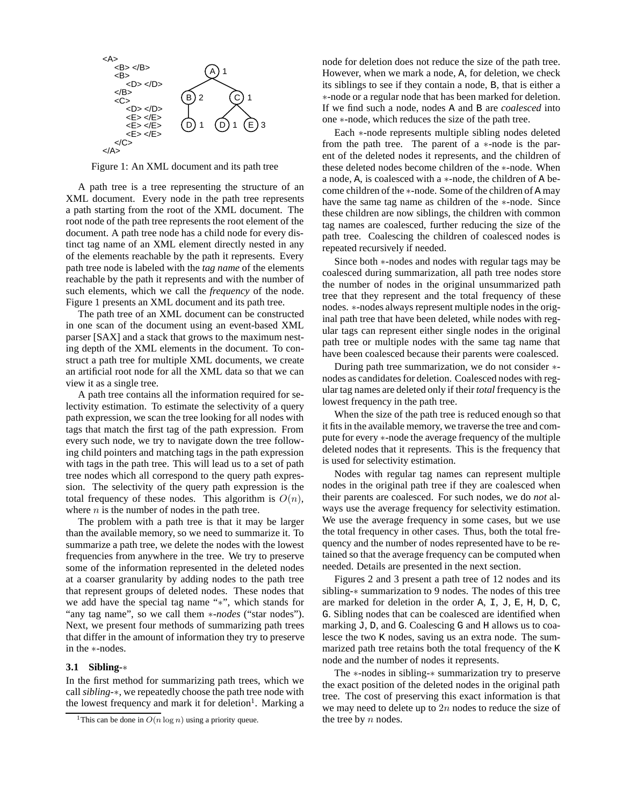

Figure 1: An XML document and its path tree

A path tree is a tree representing the structure of an XML document. Every node in the path tree represents a path starting from the root of the XML document. The root node of the path tree represents the root element of the document. A path tree node has a child node for every distinct tag name of an XML element directly nested in any of the elements reachable by the path it represents. Every path tree node is labeled with the *tag name* of the elements reachable by the path it represents and with the number of such elements, which we call the *frequency* of the node. Figure 1 presents an XML document and its path tree.

The path tree of an XML document can be constructed in one scan of the document using an event-based XML parser [SAX] and a stack that grows to the maximum nesting depth of the XML elements in the document. To construct a path tree for multiple XML documents, we create an artificial root node for all the XML data so that we can view it as a single tree.

A path tree contains all the information required for selectivity estimation. To estimate the selectivity of a query path expression, we scan the tree looking for all nodes with tags that match the first tag of the path expression. From every such node, we try to navigate down the tree following child pointers and matching tags in the path expression with tags in the path tree. This will lead us to a set of path tree nodes which all correspond to the query path expression. The selectivity of the query path expression is the total frequency of these nodes. This algorithm is  $O(n)$ , where  $n$  is the number of nodes in the path tree.

The problem with a path tree is that it may be larger than the available memory, so we need to summarize it. To summarize a path tree, we delete the nodes with the lowest frequencies from anywhere in the tree. We try to preserve some of the information represented in the deleted nodes at a coarser granularity by adding nodes to the path tree that represent groups of deleted nodes. These nodes that we add have the special tag name "∗", which stands for "any tag name", so we call them ∗*-nodes* ("star nodes"). Next, we present four methods of summarizing path trees that differ in the amount of information they try to preserve in the ∗-nodes.

#### **3.1 Sibling-**∗

In the first method for summarizing path trees, which we call *sibling-*∗, we repeatedly choose the path tree node with the lowest frequency and mark it for deletion<sup>1</sup>. Marking a

node for deletion does not reduce the size of the path tree. However, when we mark a node, A, for deletion, we check its siblings to see if they contain a node, B, that is either a ∗-node or a regular node that has been marked for deletion. If we find such a node, nodes A and B are *coalesced* into one ∗-node, which reduces the size of the path tree.

Each ∗-node represents multiple sibling nodes deleted from the path tree. The parent of a ∗-node is the parent of the deleted nodes it represents, and the children of these deleted nodes become children of the ∗-node. When a node, A, is coalesced with a ∗-node, the children of A become children of the ∗-node. Some of the children of A may have the same tag name as children of the ∗-node. Since these children are now siblings, the children with common tag names are coalesced, further reducing the size of the path tree. Coalescing the children of coalesced nodes is repeated recursively if needed.

Since both ∗-nodes and nodes with regular tags may be coalesced during summarization, all path tree nodes store the number of nodes in the original unsummarized path tree that they represent and the total frequency of these nodes. ∗-nodes always represent multiple nodes in the original path tree that have been deleted, while nodes with regular tags can represent either single nodes in the original path tree or multiple nodes with the same tag name that have been coalesced because their parents were coalesced.

During path tree summarization, we do not consider ∗ nodes as candidates for deletion. Coalesced nodes with regular tag names are deleted only if their *total* frequency is the lowest frequency in the path tree.

When the size of the path tree is reduced enough so that it fits in the available memory, we traverse the tree and compute for every ∗-node the average frequency of the multiple deleted nodes that it represents. This is the frequency that is used for selectivity estimation.

Nodes with regular tag names can represent multiple nodes in the original path tree if they are coalesced when their parents are coalesced. For such nodes, we do *not* always use the average frequency for selectivity estimation. We use the average frequency in some cases, but we use the total frequency in other cases. Thus, both the total frequency and the number of nodes represented have to be retained so that the average frequency can be computed when needed. Details are presented in the next section.

Figures 2 and 3 present a path tree of 12 nodes and its sibling-∗ summarization to 9 nodes. The nodes of this tree are marked for deletion in the order A, I, J, E, H, D, C, G. Sibling nodes that can be coalesced are identified when marking J, D, and G. Coalescing G and H allows us to coalesce the two K nodes, saving us an extra node. The summarized path tree retains both the total frequency of the K node and the number of nodes it represents.

The ∗-nodes in sibling-∗ summarization try to preserve the exact position of the deleted nodes in the original path tree. The cost of preserving this exact information is that we may need to delete up to  $2n$  nodes to reduce the size of the tree by  $n$  nodes.

<sup>&</sup>lt;sup>1</sup>This can be done in  $O(n \log n)$  using a priority queue.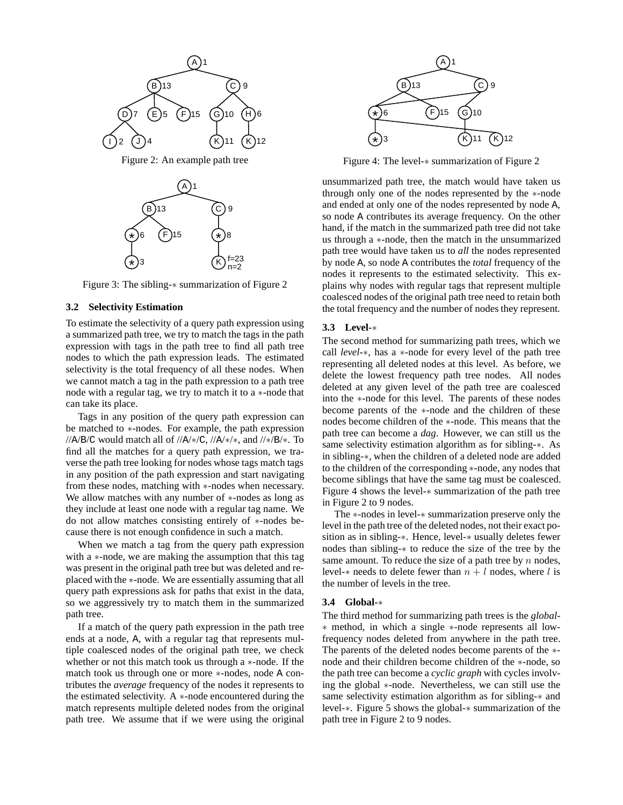

Figure 3: The sibling-∗ summarization of Figure 2

## **3.2 Selectivity Estimation**

To estimate the selectivity of a query path expression using a summarized path tree, we try to match the tags in the path expression with tags in the path tree to find all path tree nodes to which the path expression leads. The estimated selectivity is the total frequency of all these nodes. When we cannot match a tag in the path expression to a path tree node with a regular tag, we try to match it to a ∗-node that can take its place.

Tags in any position of the query path expression can be matched to ∗-nodes. For example, the path expression //A/B/C would match all of //A/ $\ast$ /C, //A/ $\ast$ / $\ast$ , and // $\ast$ /B/ $\ast$ . To find all the matches for a query path expression, we traverse the path tree looking for nodes whose tags match tags in any position of the path expression and start navigating from these nodes, matching with ∗-nodes when necessary. We allow matches with any number of ∗-nodes as long as they include at least one node with a regular tag name. We do not allow matches consisting entirely of ∗-nodes because there is not enough confidence in such a match.

When we match a tag from the query path expression with a ∗-node, we are making the assumption that this tag was present in the original path tree but was deleted and replaced with the ∗-node. We are essentially assuming that all query path expressions ask for paths that exist in the data, so we aggressively try to match them in the summarized path tree.

If a match of the query path expression in the path tree ends at a node, A, with a regular tag that represents multiple coalesced nodes of the original path tree, we check whether or not this match took us through a ∗-node. If the match took us through one or more ∗-nodes, node A contributes the *average* frequency of the nodes it represents to the estimated selectivity. A  $*$ -node encountered during the match represents multiple deleted nodes from the original path tree. We assume that if we were using the original



Figure 4: The level-∗ summarization of Figure 2

unsummarized path tree, the match would have taken us through only one of the nodes represented by the ∗-node and ended at only one of the nodes represented by node A, so node A contributes its average frequency. On the other hand, if the match in the summarized path tree did not take us through a ∗-node, then the match in the unsummarized path tree would have taken us to *all* the nodes represented by node A, so node A contributes the *total* frequency of the nodes it represents to the estimated selectivity. This explains why nodes with regular tags that represent multiple coalesced nodes of the original path tree need to retain both the total frequency and the number of nodes they represent.

#### **3.3 Level-**∗

The second method for summarizing path trees, which we call *level-*∗, has a ∗-node for every level of the path tree representing all deleted nodes at this level. As before, we delete the lowest frequency path tree nodes. All nodes deleted at any given level of the path tree are coalesced into the ∗-node for this level. The parents of these nodes become parents of the ∗-node and the children of these nodes become children of the ∗-node. This means that the path tree can become a *dag*. However, we can still us the same selectivity estimation algorithm as for sibling-∗. As in sibling-∗, when the children of a deleted node are added to the children of the corresponding ∗-node, any nodes that become siblings that have the same tag must be coalesced. Figure 4 shows the level-∗ summarization of the path tree in Figure 2 to 9 nodes.

The ∗-nodes in level-∗ summarization preserve only the level in the path tree of the deleted nodes, not their exact position as in sibling-∗. Hence, level-∗ usually deletes fewer nodes than sibling-∗ to reduce the size of the tree by the same amount. To reduce the size of a path tree by  $n$  nodes, level- $*$  needs to delete fewer than  $n + l$  nodes, where l is the number of levels in the tree.

## **3.4 Global-**∗

The third method for summarizing path trees is the *global-* ∗ method, in which a single ∗-node represents all lowfrequency nodes deleted from anywhere in the path tree. The parents of the deleted nodes become parents of the ∗ node and their children become children of the ∗-node, so the path tree can become a *cyclic graph* with cycles involving the global ∗-node. Nevertheless, we can still use the same selectivity estimation algorithm as for sibling-∗ and level-∗. Figure 5 shows the global-∗ summarization of the path tree in Figure 2 to 9 nodes.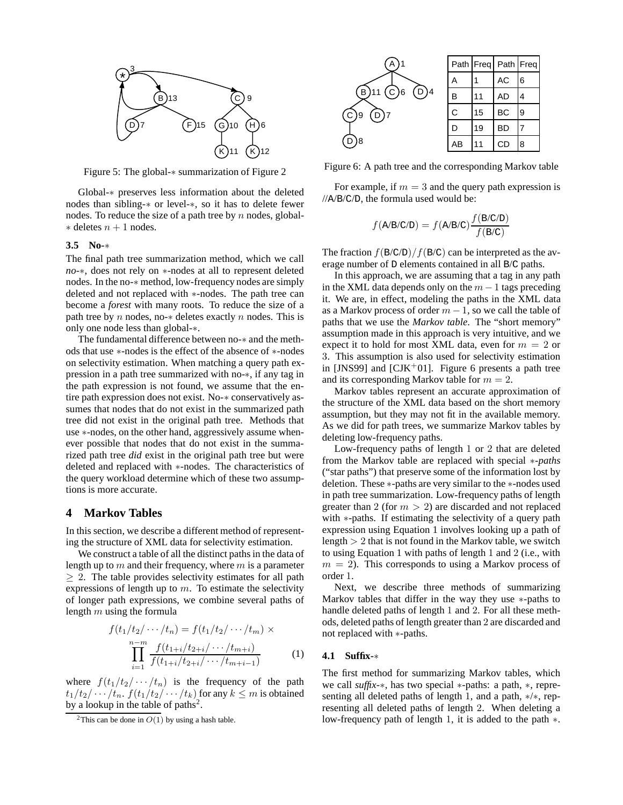

Figure 5: The global-∗ summarization of Figure 2

Global-∗ preserves less information about the deleted nodes than sibling-∗ or level-∗, so it has to delete fewer nodes. To reduce the size of a path tree by  $n$  nodes, global- $*$  deletes  $n + 1$  nodes.

#### **3.5 No-**∗

The final path tree summarization method, which we call *no-*∗, does not rely on ∗-nodes at all to represent deleted nodes. In the no-∗ method, low-frequency nodes are simply deleted and not replaced with ∗-nodes. The path tree can become a *forest* with many roots. To reduce the size of a path tree by n nodes, no- $*$  deletes exactly n nodes. This is only one node less than global-∗.

The fundamental difference between no-∗ and the methods that use ∗-nodes is the effect of the absence of ∗-nodes on selectivity estimation. When matching a query path expression in a path tree summarized with no-∗, if any tag in the path expression is not found, we assume that the entire path expression does not exist. No-∗ conservatively assumes that nodes that do not exist in the summarized path tree did not exist in the original path tree. Methods that use ∗-nodes, on the other hand, aggressively assume whenever possible that nodes that do not exist in the summarized path tree *did* exist in the original path tree but were deleted and replaced with ∗-nodes. The characteristics of the query workload determine which of these two assumptions is more accurate.

## **4 Markov Tables**

In this section, we describe a different method of representing the structure of XML data for selectivity estimation.

We construct a table of all the distinct paths in the data of length up to  $m$  and their frequency, where  $m$  is a parameter  $> 2$ . The table provides selectivity estimates for all path expressions of length up to  $m$ . To estimate the selectivity of longer path expressions, we combine several paths of length  $m$  using the formula

$$
f(t_1/t_2/\cdots/t_n) = f(t_1/t_2/\cdots/t_m) \times
$$

$$
\prod_{i=1}^{n-m} \frac{f(t_{1+i}/t_{2+i}/\cdots/t_{m+i})}{f(t_{1+i}/t_{2+i}/\cdots/t_{m+i-1})}
$$
 (1)

where  $f(t_1/t_2/\cdots/t_n)$  is the frequency of the path  $t_1/t_2/\cdots/t_n$ .  $f(t_1/t_2/\cdots/t_k)$  for any  $k \leq m$  is obtained by a lookup in the table of paths<sup>2</sup>.



Figure 6: A path tree and the corresponding Markov table

For example, if  $m = 3$  and the query path expression is //A/B/C/D, the formula used would be:

$$
f(A/B/C/D) = f(A/B/C)\frac{f(B/C/D)}{f(B/C)}
$$

The fraction  $f(B/C/D)/f(B/C)$  can be interpreted as the average number of D elements contained in all B/C paths.

In this approach, we are assuming that a tag in any path in the XML data depends only on the  $m-1$  tags preceding it. We are, in effect, modeling the paths in the XML data as a Markov process of order  $m - 1$ , so we call the table of paths that we use the *Markov table*. The "short memory" assumption made in this approach is very intuitive, and we expect it to hold for most XML data, even for  $m = 2$  or 3. This assumption is also used for selectivity estimation in [JNS99] and [CJK<sup>+</sup>01]. Figure 6 presents a path tree and its corresponding Markov table for  $m = 2$ .

Markov tables represent an accurate approximation of the structure of the XML data based on the short memory assumption, but they may not fit in the available memory. As we did for path trees, we summarize Markov tables by deleting low-frequency paths.

Low-frequency paths of length 1 or 2 that are deleted from the Markov table are replaced with special ∗*-paths* ("star paths") that preserve some of the information lost by deletion. These ∗-paths are very similar to the ∗-nodes used in path tree summarization. Low-frequency paths of length greater than 2 (for  $m > 2$ ) are discarded and not replaced with ∗-paths. If estimating the selectivity of a query path expression using Equation 1 involves looking up a path of length  $> 2$  that is not found in the Markov table, we switch to using Equation 1 with paths of length 1 and 2 (i.e., with  $m = 2$ ). This corresponds to using a Markov process of order 1.

Next, we describe three methods of summarizing Markov tables that differ in the way they use ∗-paths to handle deleted paths of length 1 and 2. For all these methods, deleted paths of length greater than 2 are discarded and not replaced with ∗-paths.

#### **4.1 Suffix-**∗

The first method for summarizing Markov tables, which we call *suffix-*∗, has two special ∗-paths: a path, ∗, representing all deleted paths of length 1, and a path, ∗/∗, representing all deleted paths of length 2. When deleting a low-frequency path of length 1, it is added to the path ∗.

<sup>&</sup>lt;sup>2</sup>This can be done in  $O(1)$  by using a hash table.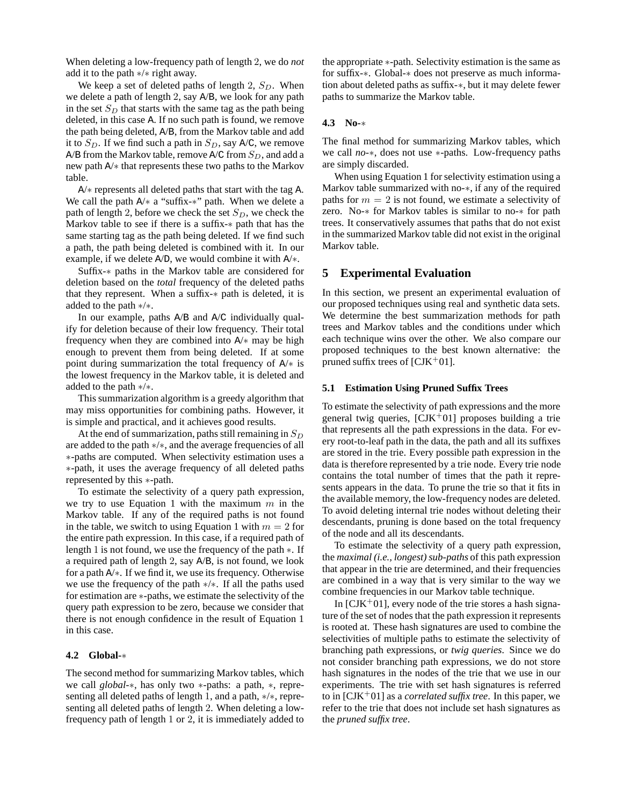When deleting a low-frequency path of length 2, we do *not* add it to the path ∗/∗ right away.

We keep a set of deleted paths of length 2,  $S_D$ . When we delete a path of length 2, say A/B, we look for any path in the set  $S_D$  that starts with the same tag as the path being deleted, in this case A. If no such path is found, we remove the path being deleted, A/B, from the Markov table and add it to  $S_D$ . If we find such a path in  $S_D$ , say A/C, we remove A/B from the Markov table, remove A/C from  $S_D$ , and add a new path A/∗ that represents these two paths to the Markov table.

A/∗ represents all deleted paths that start with the tag A. We call the path A/∗ a "suffix-∗" path. When we delete a path of length 2, before we check the set  $S_D$ , we check the Markov table to see if there is a suffix-∗ path that has the same starting tag as the path being deleted. If we find such a path, the path being deleted is combined with it. In our example, if we delete A/D, we would combine it with A/∗.

Suffix-∗ paths in the Markov table are considered for deletion based on the *total* frequency of the deleted paths that they represent. When a suffix-∗ path is deleted, it is added to the path ∗/∗.

In our example, paths A/B and A/C individually qualify for deletion because of their low frequency. Their total frequency when they are combined into A/∗ may be high enough to prevent them from being deleted. If at some point during summarization the total frequency of A/∗ is the lowest frequency in the Markov table, it is deleted and added to the path ∗/∗.

This summarization algorithm is a greedy algorithm that may miss opportunities for combining paths. However, it is simple and practical, and it achieves good results.

At the end of summarization, paths still remaining in  $S_D$ are added to the path ∗/∗, and the average frequencies of all ∗-paths are computed. When selectivity estimation uses a ∗-path, it uses the average frequency of all deleted paths represented by this ∗-path.

To estimate the selectivity of a query path expression, we try to use Equation 1 with the maximum  $m$  in the Markov table. If any of the required paths is not found in the table, we switch to using Equation 1 with  $m = 2$  for the entire path expression. In this case, if a required path of length 1 is not found, we use the frequency of the path ∗. If a required path of length 2, say A/B, is not found, we look for a path A/∗. If we find it, we use its frequency. Otherwise we use the frequency of the path ∗/∗. If all the paths used for estimation are ∗-paths, we estimate the selectivity of the query path expression to be zero, because we consider that there is not enough confidence in the result of Equation 1 in this case.

## **4.2 Global-**∗

The second method for summarizing Markov tables, which we call *global-*∗, has only two ∗-paths: a path, ∗, representing all deleted paths of length 1, and a path, ∗/∗, representing all deleted paths of length 2. When deleting a lowfrequency path of length 1 or 2, it is immediately added to the appropriate ∗-path. Selectivity estimation is the same as for suffix-∗. Global-∗ does not preserve as much information about deleted paths as suffix-∗, but it may delete fewer paths to summarize the Markov table.

## **4.3 No-**∗

The final method for summarizing Markov tables, which we call *no-*∗, does not use ∗-paths. Low-frequency paths are simply discarded.

When using Equation 1 for selectivity estimation using a Markov table summarized with no-∗, if any of the required paths for  $m = 2$  is not found, we estimate a selectivity of zero. No-∗ for Markov tables is similar to no-∗ for path trees. It conservatively assumes that paths that do not exist in the summarized Markov table did not exist in the original Markov table.

# **5 Experimental Evaluation**

In this section, we present an experimental evaluation of our proposed techniques using real and synthetic data sets. We determine the best summarization methods for path trees and Markov tables and the conditions under which each technique wins over the other. We also compare our proposed techniques to the best known alternative: the pruned suffix trees of [ $CJK^+01$ ].

#### **5.1 Estimation Using Pruned Suffix Trees**

To estimate the selectivity of path expressions and the more general twig queries,  $[CIK<sup>+</sup>01]$  proposes building a trie that represents all the path expressions in the data. For every root-to-leaf path in the data, the path and all its suffixes are stored in the trie. Every possible path expression in the data is therefore represented by a trie node. Every trie node contains the total number of times that the path it represents appears in the data. To prune the trie so that it fits in the available memory, the low-frequency nodes are deleted. To avoid deleting internal trie nodes without deleting their descendants, pruning is done based on the total frequency of the node and all its descendants.

To estimate the selectivity of a query path expression, the *maximal (i.e., longest) sub-paths* of this path expression that appear in the trie are determined, and their frequencies are combined in a way that is very similar to the way we combine frequencies in our Markov table technique.

In  $[CIK+01]$ , every node of the trie stores a hash signature of the set of nodes that the path expression it represents is rooted at. These hash signatures are used to combine the selectivities of multiple paths to estimate the selectivity of branching path expressions, or *twig queries*. Since we do not consider branching path expressions, we do not store hash signatures in the nodes of the trie that we use in our experiments. The trie with set hash signatures is referred to in [CJK<sup>+</sup>01] as a *correlated suffix tree*. In this paper, we refer to the trie that does not include set hash signatures as the *pruned suffix tree*.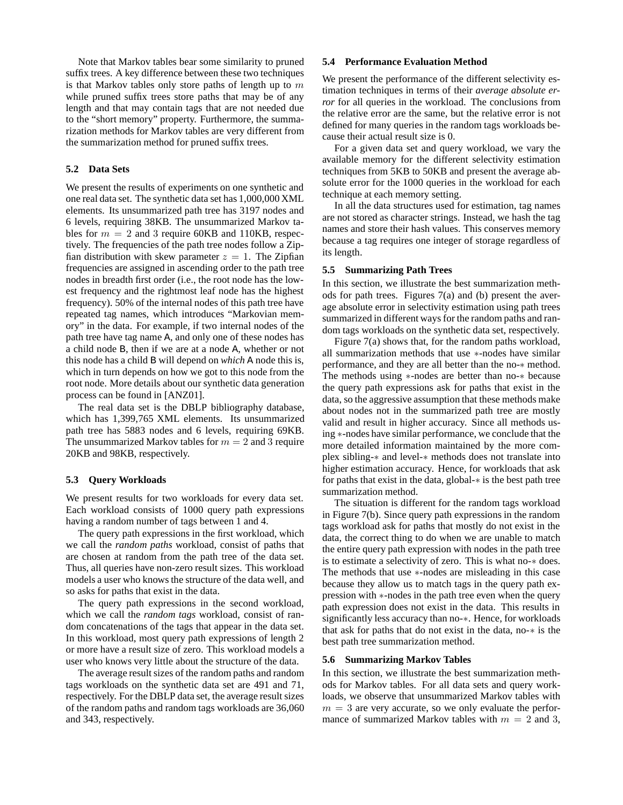Note that Markov tables bear some similarity to pruned suffix trees. A key difference between these two techniques is that Markov tables only store paths of length up to  $m$ while pruned suffix trees store paths that may be of any length and that may contain tags that are not needed due to the "short memory" property. Furthermore, the summarization methods for Markov tables are very different from the summarization method for pruned suffix trees.

## **5.2 Data Sets**

We present the results of experiments on one synthetic and one real data set. The synthetic data set has 1,000,000 XML elements. Its unsummarized path tree has 3197 nodes and 6 levels, requiring 38KB. The unsummarized Markov tables for  $m = 2$  and 3 require 60KB and 110KB, respectively. The frequencies of the path tree nodes follow a Zipfian distribution with skew parameter  $z = 1$ . The Zipfian frequencies are assigned in ascending order to the path tree nodes in breadth first order (i.e., the root node has the lowest frequency and the rightmost leaf node has the highest frequency). 50% of the internal nodes of this path tree have repeated tag names, which introduces "Markovian memory" in the data. For example, if two internal nodes of the path tree have tag name A, and only one of these nodes has a child node B, then if we are at a node A, whether or not this node has a child B will depend on *which* A node this is, which in turn depends on how we got to this node from the root node. More details about our synthetic data generation process can be found in [ANZ01].

The real data set is the DBLP bibliography database, which has 1,399,765 XML elements. Its unsummarized path tree has 5883 nodes and 6 levels, requiring 69KB. The unsummarized Markov tables for  $m = 2$  and 3 require 20KB and 98KB, respectively.

#### **5.3 Query Workloads**

We present results for two workloads for every data set. Each workload consists of 1000 query path expressions having a random number of tags between 1 and 4.

The query path expressions in the first workload, which we call the *random paths* workload, consist of paths that are chosen at random from the path tree of the data set. Thus, all queries have non-zero result sizes. This workload models a user who knows the structure of the data well, and so asks for paths that exist in the data.

The query path expressions in the second workload, which we call the *random tags* workload, consist of random concatenations of the tags that appear in the data set. In this workload, most query path expressions of length 2 or more have a result size of zero. This workload models a user who knows very little about the structure of the data.

The average result sizes of the random paths and random tags workloads on the synthetic data set are 491 and 71, respectively. For the DBLP data set, the average result sizes of the random paths and random tags workloads are 36,060 and 343, respectively.

## **5.4 Performance Evaluation Method**

We present the performance of the different selectivity estimation techniques in terms of their *average absolute error* for all queries in the workload. The conclusions from the relative error are the same, but the relative error is not defined for many queries in the random tags workloads because their actual result size is 0.

For a given data set and query workload, we vary the available memory for the different selectivity estimation techniques from 5KB to 50KB and present the average absolute error for the 1000 queries in the workload for each technique at each memory setting.

In all the data structures used for estimation, tag names are not stored as character strings. Instead, we hash the tag names and store their hash values. This conserves memory because a tag requires one integer of storage regardless of its length.

#### **5.5 Summarizing Path Trees**

In this section, we illustrate the best summarization methods for path trees. Figures 7(a) and (b) present the average absolute error in selectivity estimation using path trees summarized in different ways for the random paths and random tags workloads on the synthetic data set, respectively.

Figure 7(a) shows that, for the random paths workload, all summarization methods that use ∗-nodes have similar performance, and they are all better than the no-∗ method. The methods using ∗-nodes are better than no-∗ because the query path expressions ask for paths that exist in the data, so the aggressive assumption that these methods make about nodes not in the summarized path tree are mostly valid and result in higher accuracy. Since all methods using ∗-nodes have similar performance, we conclude that the more detailed information maintained by the more complex sibling-∗ and level-∗ methods does not translate into higher estimation accuracy. Hence, for workloads that ask for paths that exist in the data, global-∗ is the best path tree summarization method.

The situation is different for the random tags workload in Figure 7(b). Since query path expressions in the random tags workload ask for paths that mostly do not exist in the data, the correct thing to do when we are unable to match the entire query path expression with nodes in the path tree is to estimate a selectivity of zero. This is what no-∗ does. The methods that use ∗-nodes are misleading in this case because they allow us to match tags in the query path expression with ∗-nodes in the path tree even when the query path expression does not exist in the data. This results in significantly less accuracy than no-∗. Hence, for workloads that ask for paths that do not exist in the data, no-∗ is the best path tree summarization method.

## **5.6 Summarizing Markov Tables**

In this section, we illustrate the best summarization methods for Markov tables. For all data sets and query workloads, we observe that unsummarized Markov tables with  $m = 3$  are very accurate, so we only evaluate the performance of summarized Markov tables with  $m = 2$  and 3,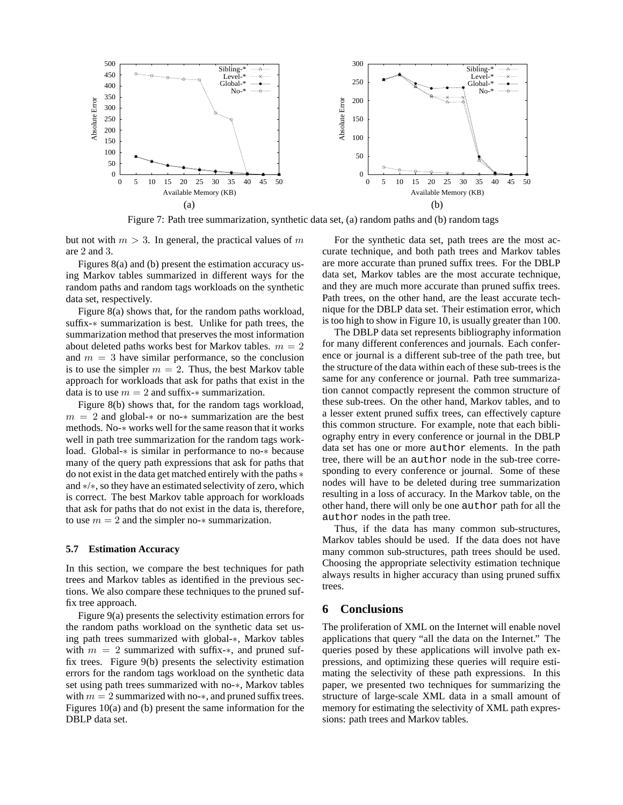

Figure 7: Path tree summarization, synthetic data set, (a) random paths and (b) random tags

but not with  $m > 3$ . In general, the practical values of m are 2 and 3.

Figures 8(a) and (b) present the estimation accuracy using Markov tables summarized in different ways for the random paths and random tags workloads on the synthetic data set, respectively.

Figure 8(a) shows that, for the random paths workload, suffix-∗ summarization is best. Unlike for path trees, the summarization method that preserves the most information about deleted paths works best for Markov tables.  $m = 2$ and  $m = 3$  have similar performance, so the conclusion is to use the simpler  $m = 2$ . Thus, the best Markov table approach for workloads that ask for paths that exist in the data is to use  $m = 2$  and suffix- $*$  summarization.

Figure 8(b) shows that, for the random tags workload,  $m = 2$  and global- $*$  or no- $*$  summarization are the best methods. No-∗ works well for the same reason that it works well in path tree summarization for the random tags workload. Global-∗ is similar in performance to no-∗ because many of the query path expressions that ask for paths that do not exist in the data get matched entirely with the paths ∗ and ∗/∗, so they have an estimated selectivity of zero, which is correct. The best Markov table approach for workloads that ask for paths that do not exist in the data is, therefore, to use  $m = 2$  and the simpler no- $*$  summarization.

#### **5.7 Estimation Accuracy**

In this section, we compare the best techniques for path trees and Markov tables as identified in the previous sections. We also compare these techniques to the pruned suffix tree approach.

Figure 9(a) presents the selectivity estimation errors for the random paths workload on the synthetic data set using path trees summarized with global-∗, Markov tables with  $m = 2$  summarized with suffix-\*, and pruned suffix trees. Figure 9(b) presents the selectivity estimation errors for the random tags workload on the synthetic data set using path trees summarized with no-∗, Markov tables with  $m = 2$  summarized with no- $\ast$ , and pruned suffix trees. Figures 10(a) and (b) present the same information for the DBLP data set.

For the synthetic data set, path trees are the most accurate technique, and both path trees and Markov tables are more accurate than pruned suffix trees. For the DBLP data set, Markov tables are the most accurate technique, and they are much more accurate than pruned suffix trees. Path trees, on the other hand, are the least accurate technique for the DBLP data set. Their estimation error, which is too high to show in Figure 10, is usually greater than 100.

The DBLP data set represents bibliography information for many different conferences and journals. Each conference or journal is a different sub-tree of the path tree, but the structure of the data within each of these sub-trees is the same for any conference or journal. Path tree summarization cannot compactly represent the common structure of these sub-trees. On the other hand, Markov tables, and to a lesser extent pruned suffix trees, can effectively capture this common structure. For example, note that each bibliography entry in every conference or journal in the DBLP data set has one or more author elements. In the path tree, there will be an author node in the sub-tree corresponding to every conference or journal. Some of these nodes will have to be deleted during tree summarization resulting in a loss of accuracy. In the Markov table, on the other hand, there will only be one author path for all the author nodes in the path tree.

Thus, if the data has many common sub-structures, Markov tables should be used. If the data does not have many common sub-structures, path trees should be used. Choosing the appropriate selectivity estimation technique always results in higher accuracy than using pruned suffix trees.

# **6 Conclusions**

The proliferation of XML on the Internet will enable novel applications that query "all the data on the Internet." The queries posed by these applications will involve path expressions, and optimizing these queries will require estimating the selectivity of these path expressions. In this paper, we presented two techniques for summarizing the structure of large-scale XML data in a small amount of memory for estimating the selectivity of XML path expressions: path trees and Markov tables.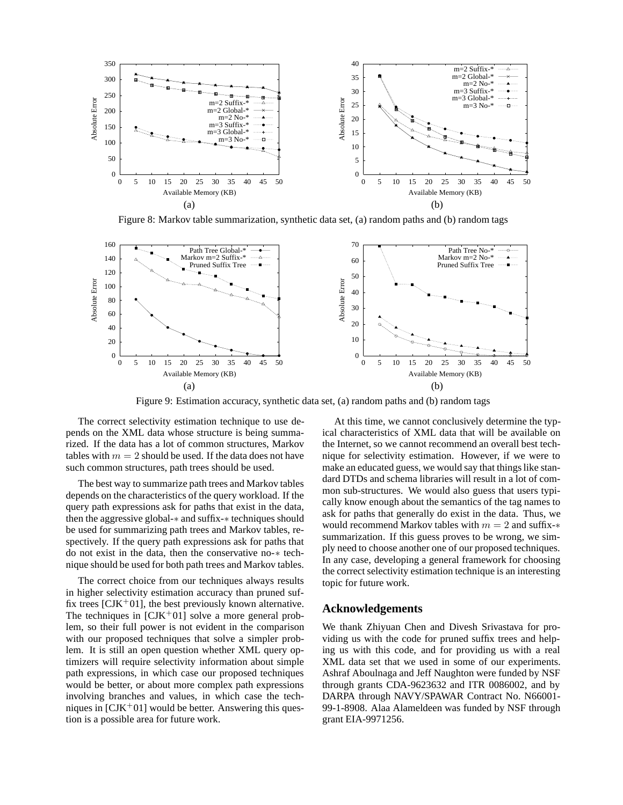

Figure 8: Markov table summarization, synthetic data set, (a) random paths and (b) random tags



Figure 9: Estimation accuracy, synthetic data set, (a) random paths and (b) random tags

The correct selectivity estimation technique to use depends on the XML data whose structure is being summarized. If the data has a lot of common structures, Markov tables with  $m = 2$  should be used. If the data does not have such common structures, path trees should be used.

The best way to summarize path trees and Markov tables depends on the characteristics of the query workload. If the query path expressions ask for paths that exist in the data, then the aggressive global-∗ and suffix-∗ techniques should be used for summarizing path trees and Markov tables, respectively. If the query path expressions ask for paths that do not exist in the data, then the conservative no-∗ technique should be used for both path trees and Markov tables.

The correct choice from our techniques always results in higher selectivity estimation accuracy than pruned suffix trees [ $CJK^+01$ ], the best previously known alternative. The techniques in  $[CIK^+01]$  solve a more general problem, so their full power is not evident in the comparison with our proposed techniques that solve a simpler problem. It is still an open question whether XML query optimizers will require selectivity information about simple path expressions, in which case our proposed techniques would be better, or about more complex path expressions involving branches and values, in which case the techniques in  $\text{[CJK}^+01]$  would be better. Answering this question is a possible area for future work.

At this time, we cannot conclusively determine the typical characteristics of XML data that will be available on the Internet, so we cannot recommend an overall best technique for selectivity estimation. However, if we were to make an educated guess, we would say that things like standard DTDs and schema libraries will result in a lot of common sub-structures. We would also guess that users typically know enough about the semantics of the tag names to ask for paths that generally do exist in the data. Thus, we would recommend Markov tables with  $m = 2$  and suffix- $*$ summarization. If this guess proves to be wrong, we simply need to choose another one of our proposed techniques. In any case, developing a general framework for choosing the correct selectivity estimation technique is an interesting topic for future work.

## **Acknowledgements**

We thank Zhiyuan Chen and Divesh Srivastava for providing us with the code for pruned suffix trees and helping us with this code, and for providing us with a real XML data set that we used in some of our experiments. Ashraf Aboulnaga and Jeff Naughton were funded by NSF through grants CDA-9623632 and ITR 0086002, and by DARPA through NAVY/SPAWAR Contract No. N66001- 99-1-8908. Alaa Alameldeen was funded by NSF through grant EIA-9971256.